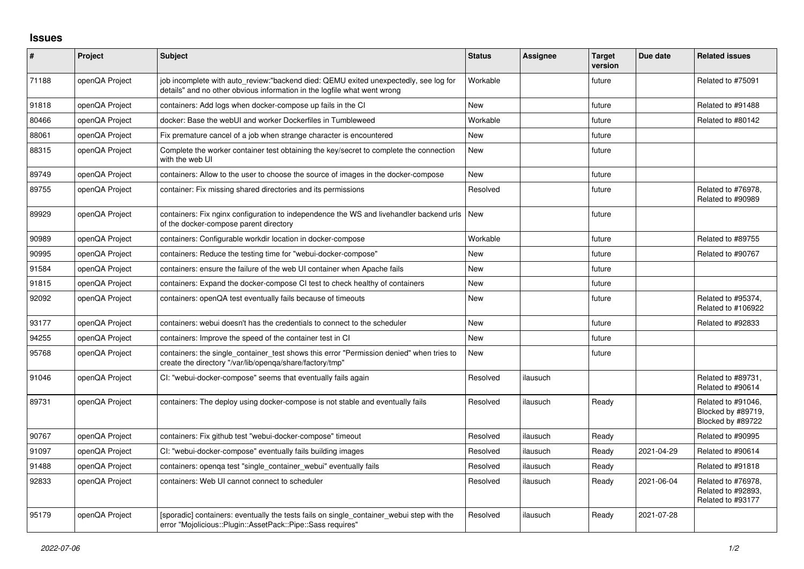## **Issues**

| $\vert$ # | Project        | <b>Subject</b>                                                                                                                                                   | <b>Status</b> | Assignee | <b>Target</b><br>version | Due date   | <b>Related issues</b>                                         |
|-----------|----------------|------------------------------------------------------------------------------------------------------------------------------------------------------------------|---------------|----------|--------------------------|------------|---------------------------------------------------------------|
| 71188     | openQA Project | job incomplete with auto_review:"backend died: QEMU exited unexpectedly, see log for<br>details" and no other obvious information in the logfile what went wrong | Workable      |          | future                   |            | Related to #75091                                             |
| 91818     | openQA Project | containers: Add logs when docker-compose up fails in the CI                                                                                                      | <b>New</b>    |          | future                   |            | Related to #91488                                             |
| 80466     | openQA Project | docker: Base the webUI and worker Dockerfiles in Tumbleweed                                                                                                      | Workable      |          | future                   |            | Related to #80142                                             |
| 88061     | openQA Project | Fix premature cancel of a job when strange character is encountered                                                                                              | <b>New</b>    |          | future                   |            |                                                               |
| 88315     | openQA Project | Complete the worker container test obtaining the key/secret to complete the connection<br>with the web UI                                                        | New           |          | future                   |            |                                                               |
| 89749     | openQA Project | containers: Allow to the user to choose the source of images in the docker-compose                                                                               | New           |          | future                   |            |                                                               |
| 89755     | openQA Project | container: Fix missing shared directories and its permissions                                                                                                    | Resolved      |          | future                   |            | Related to #76978,<br>Related to #90989                       |
| 89929     | openQA Project | containers: Fix nginx configuration to independence the WS and livehandler backend urls<br>of the docker-compose parent directory                                | <b>New</b>    |          | future                   |            |                                                               |
| 90989     | openQA Project | containers: Configurable workdir location in docker-compose                                                                                                      | Workable      |          | future                   |            | Related to #89755                                             |
| 90995     | openQA Project | containers: Reduce the testing time for "webui-docker-compose"                                                                                                   | <b>New</b>    |          | future                   |            | Related to #90767                                             |
| 91584     | openQA Project | containers: ensure the failure of the web UI container when Apache fails                                                                                         | New           |          | future                   |            |                                                               |
| 91815     | openQA Project | containers: Expand the docker-compose CI test to check healthy of containers                                                                                     | New           |          | future                   |            |                                                               |
| 92092     | openQA Project | containers: openQA test eventually fails because of timeouts                                                                                                     | New           |          | future                   |            | Related to #95374,<br>Related to #106922                      |
| 93177     | openQA Project | containers: webui doesn't has the credentials to connect to the scheduler                                                                                        | New           |          | future                   |            | Related to #92833                                             |
| 94255     | openQA Project | containers: Improve the speed of the container test in CI                                                                                                        | New           |          | future                   |            |                                                               |
| 95768     | openQA Project | containers: the single container test shows this error "Permission denied" when tries to<br>create the directory "/var/lib/openqa/share/factory/tmp"             | New           |          | future                   |            |                                                               |
| 91046     | openQA Project | CI: "webui-docker-compose" seems that eventually fails again                                                                                                     | Resolved      | ilausuch |                          |            | Related to #89731,<br>Related to #90614                       |
| 89731     | openQA Project | containers: The deploy using docker-compose is not stable and eventually fails                                                                                   | Resolved      | ilausuch | Ready                    |            | Related to #91046,<br>Blocked by #89719,<br>Blocked by #89722 |
| 90767     | openQA Project | containers: Fix github test "webui-docker-compose" timeout                                                                                                       | Resolved      | ilausuch | Ready                    |            | Related to #90995                                             |
| 91097     | openQA Project | CI: "webui-docker-compose" eventually fails building images                                                                                                      | Resolved      | ilausuch | Ready                    | 2021-04-29 | Related to #90614                                             |
| 91488     | openQA Project | containers: openga test "single container webui" eventually fails                                                                                                | Resolved      | ilausuch | Ready                    |            | Related to #91818                                             |
| 92833     | openQA Project | containers: Web UI cannot connect to scheduler                                                                                                                   | Resolved      | ilausuch | Ready                    | 2021-06-04 | Related to #76978,<br>Related to #92893,<br>Related to #93177 |
| 95179     | openQA Project | [sporadic] containers: eventually the tests fails on single container webui step with the<br>error "Mojolicious::Plugin::AssetPack::Pipe::Sass requires"         | Resolved      | ilausuch | Ready                    | 2021-07-28 |                                                               |